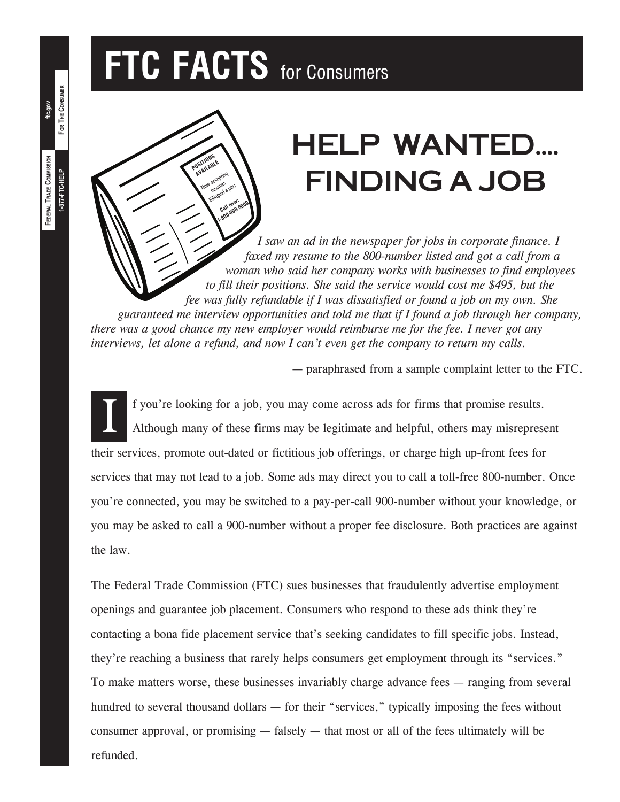# **FTC FACTS** for Consumers

**POSITIONS DSITIUABLE** Now accepting au<br>resumes <sup>4</sup> resumed a plus Call now: Eall now<sub>-0000</sub><br>1-800-000-0000

## HELP WANTED.... Finding a Job

*I saw an ad in the newspaper for jobs in corporate finance. I faxed my resume to the 800-number listed and got a call from a woman who said her company works with businesses to find employees to fill their positions. She said the service would cost me \$495, but the fee was fully refundable if I was dissatisfied or found a job on my own. She guaranteed me interview opportunities and told me that if I found a job through her company, there was a good chance my new employer would reimburse me for the fee. I never got any interviews, let alone a refund, and now I can't even get the company to return my calls.*

— paraphrased from a sample complaint letter to the FTC.

I f you're looking for a job, you may come across ads for firms that promise results. Although many of these firms may be legitimate and helpful, others may misrepresent their services, promote out-dated or fictitious job offerings, or charge high up-front fees for services that may not lead to a job. Some ads may direct you to call a toll-free 800-number. Once you're connected, you may be switched to a pay-per-call 900-number without your knowledge, or you may be asked to call a 900-number without a proper fee disclosure. Both practices are against the law.

The Federal Trade Commission (FTC) sues businesses that fraudulently advertise employment openings and guarantee job placement. Consumers who respond to these ads think they're contacting a bona fide placement service that's seeking candidates to fill specific jobs. Instead, they're reaching a business that rarely helps consumers get employment through its "services." To make matters worse, these businesses invariably charge advance fees — ranging from several hundred to several thousand dollars — for their "services," typically imposing the fees without consumer approval, or promising — falsely — that most or all of the fees ultimately will be refunded.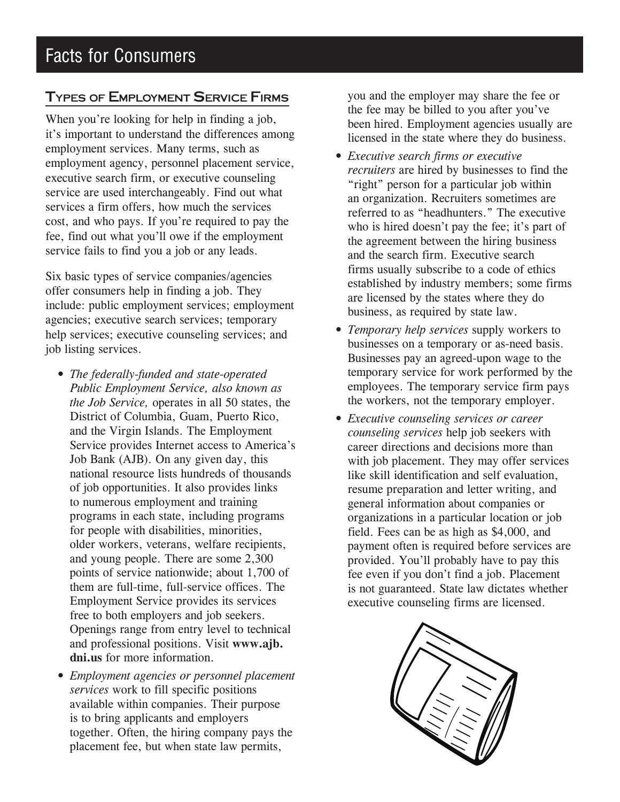#### Types of Employment Service Firms

When you're looking for help in finding a job, it's important to understand the differences among employment services. Many terms, such as employment agency, personnel placement service, executive search firm, or executive counseling service are used interchangeably. Find out what services a firm offers, how much the services cost, and who pays. If you're required to pay the fee, find out what you'll owe if the employment service fails to find you a job or any leads.

Six basic types of service companies/agencies offer consumers help in finding a job. They include: public employment services; employment agencies; executive search services; temporary help services; executive counseling services; and job listing services.

- *The federally-funded and state-operated Public Employment Service, also known as the Job Service,* operates in all 50 states, the District of Columbia, Guam, Puerto Rico, and the Virgin Islands. The Employment Service provides Internet access to America's Job Bank (AJB). On any given day, this national resource lists hundreds of thousands of job opportunities. It also provides links to numerous employment and training programs in each state, including programs for people with disabilities, minorities, older workers, veterans, welfare recipients, and young people. There are some 2,300 points of service nationwide; about 1,700 of them are full-time, full-service offices. The Employment Service provides its services free to both employers and job seekers. Openings range from entry level to technical and professional positions. Visit **www.ajb. dni.us** for more information.
- • *Employment agencies or personnel placement services* work to fill specific positions available within companies. Their purpose is to bring applicants and employers together. Often, the hiring company pays the placement fee, but when state law permits,

you and the employer may share the fee or the fee may be billed to you after you've been hired. Employment agencies usually are licensed in the state where they do business.

- • *Executive search firms or executive recruiters* are hired by businesses to find the "right" person for a particular job within an organization. Recruiters sometimes are referred to as "headhunters." The executive who is hired doesn't pay the fee; it's part of the agreement between the hiring business and the search firm. Executive search firms usually subscribe to a code of ethics established by industry members; some firms are licensed by the states where they do business, as required by state law.
- • *Temporary help services* supply workers to businesses on a temporary or as-need basis. Businesses pay an agreed-upon wage to the temporary service for work performed by the employees. The temporary service firm pays the workers, not the temporary employer.
- *Executive counseling services or career counseling services* help job seekers with career directions and decisions more than with job placement. They may offer services like skill identification and self evaluation, resume preparation and letter writing, and general information about companies or organizations in a particular location or job field. Fees can be as high as \$4,000, and payment often is required before services are provided. You'll probably have to pay this fee even if you don't find a job. Placement is not guaranteed. State law dictates whether executive counseling firms are licensed.

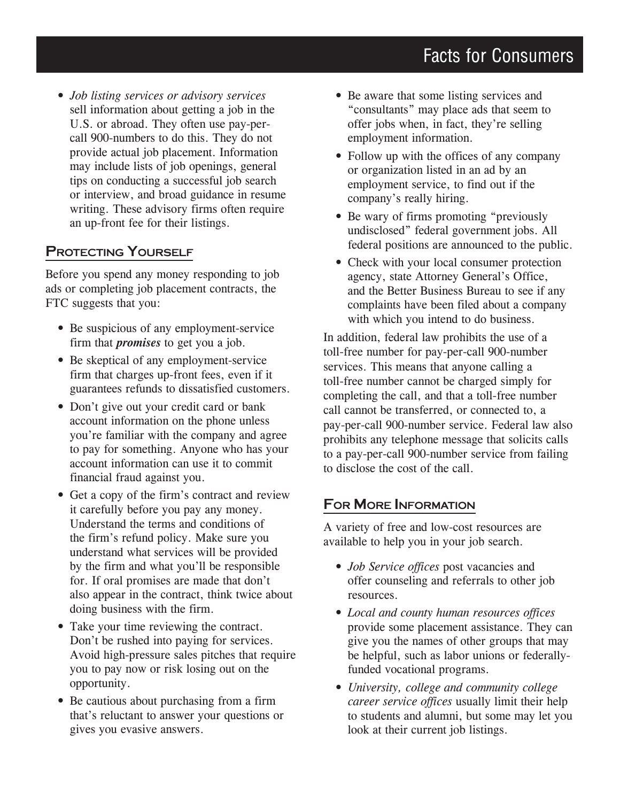• *Job listing services or advisory services* sell information about getting a job in the U.S. or abroad. They often use pay-percall 900-numbers to do this. They do not provide actual job placement. Information may include lists of job openings, general tips on conducting a successful job search or interview, and broad guidance in resume writing. These advisory firms often require an up-front fee for their listings.

#### PROTECTING YOURSELF

Before you spend any money responding to job ads or completing job placement contracts, the FTC suggests that you:

- Be suspicious of any employment-service firm that *promises* to get you a job.
- Be skeptical of any employment-service firm that charges up-front fees, even if it guarantees refunds to dissatisfied customers.
- Don't give out your credit card or bank account information on the phone unless you're familiar with the company and agree to pay for something. Anyone who has your account information can use it to commit financial fraud against you.
- Get a copy of the firm's contract and review it carefully before you pay any money. Understand the terms and conditions of the firm's refund policy. Make sure you understand what services will be provided by the firm and what you'll be responsible for. If oral promises are made that don't also appear in the contract, think twice about doing business with the firm.
- Take your time reviewing the contract. Don't be rushed into paying for services. Avoid high-pressure sales pitches that require you to pay now or risk losing out on the opportunity.
- Be cautious about purchasing from a firm that's reluctant to answer your questions or gives you evasive answers.
- Be aware that some listing services and "consultants" may place ads that seem to offer jobs when, in fact, they're selling employment information.
- Follow up with the offices of any company or organization listed in an ad by an employment service, to find out if the company's really hiring.
- Be wary of firms promoting "previously undisclosed" federal government jobs. All federal positions are announced to the public.
- Check with your local consumer protection agency, state Attorney General's Office, and the Better Business Bureau to see if any complaints have been filed about a company with which you intend to do business.

In addition, federal law prohibits the use of a toll-free number for pay-per-call 900-number services. This means that anyone calling a toll-free number cannot be charged simply for completing the call, and that a toll-free number call cannot be transferred, or connected to, a pay-per-call 900-number service. Federal law also prohibits any telephone message that solicits calls to a pay-per-call 900-number service from failing to disclose the cost of the call.

#### For More Information

A variety of free and low-cost resources are available to help you in your job search.

- *Job Service offices* post vacancies and offer counseling and referrals to other job resources.
- • *Local and county human resources offices* provide some placement assistance. They can give you the names of other groups that may be helpful, such as labor unions or federallyfunded vocational programs.
- • *University, college and community college career service offices* usually limit their help to students and alumni, but some may let you look at their current job listings.